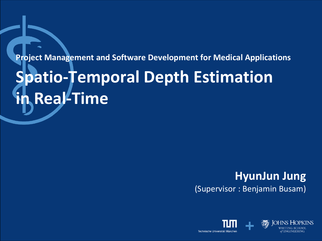#### **Project Management and Software Development for Medical Applications**

# **Spatio-Temporal Depth Estimation in Real-Time**

#### **HyunJun Jung** (Supervisor : Benjamin Busam)

Technische Universität Müncher

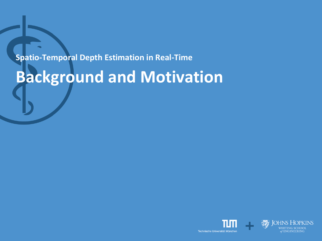## **Background and Motivation**

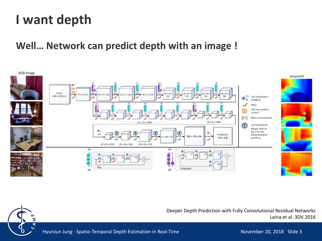### **I want depth**

#### **Well… Network can predict depth with an image !**



Deeper Depth Prediction with Fully Convolutional Residual Networks Laina et al. 3DV 2016



HyunJun Jung - Spatio-Temporal Depth Estimation in Real-Time November 20, 2018 Slide 3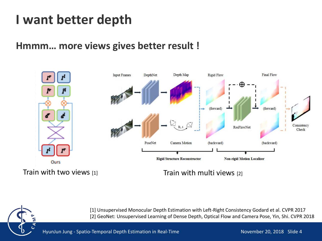### **I want better depth**

#### **Hmmm… more views gives better result !**



Train with two views [1] Train with multi views [2]



[1] Unsupervised Monocular Depth Estimation with Left-Right Consistency Godard et al. CVPR 2017 [2] GeoNet: Unsupervised Learning of Dense Depth, Optical Flow and Camera Pose, Yin, Shi. CVPR 2018

HyunJun Jung - Spatio-Temporal Depth Estimation in Real-Time November 20, 2018 Slide 4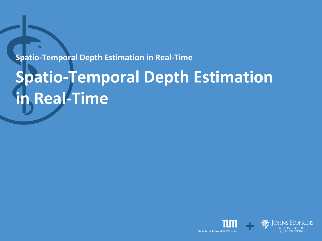# **Spatio-Temporal Depth Estimation in Real-Time**

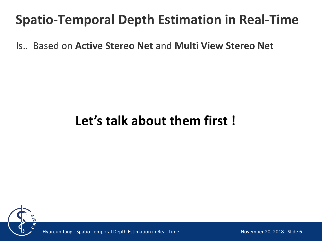Is.. Based on **Active Stereo Net** and **Multi View Stereo Net**

### **Let's talk about them first !**



HyunJun Jung - Spatio-Temporal Depth Estimation in Real-Time

November 20, 2018 Slide 6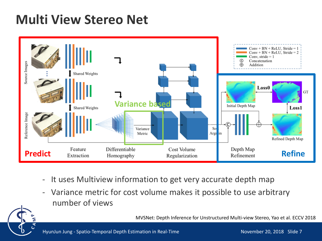### **Multi View Stereo Net**



- It uses Multiview information to get very accurate depth map
- Variance metric for cost volume makes it possible to use arbitrary number of views

MVSNet: Depth Inference for Unstructured Multi-view Stereo, Yao et al. ECCV 2018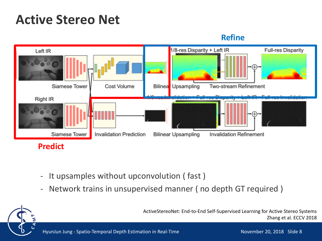### **Active Stereo Net**

#### **Refine**



- It upsamples without upconvolution ( fast )
- Network trains in unsupervised manner ( no depth GT required )

ActiveStereoNet: End-to-End Self-Supervised Learning for Active Stereo Systems Zhang et al. ECCV 2018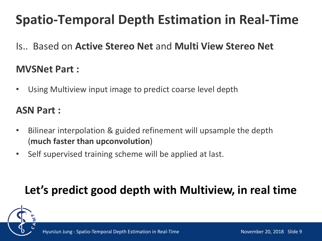Is.. Based on **Active Stereo Net** and **Multi View Stereo Net**

#### **MVSNet Part :**

• Using Multiview input image to predict coarse level depth

#### **ASN Part :**

- Bilinear interpolation & guided refinement will upsample the depth (**much faster than upconvolution**)
- Self supervised training scheme will be applied at last.

### **Let's predict good depth with Multiview, in real time**

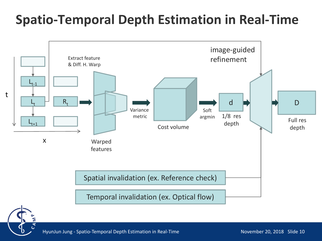

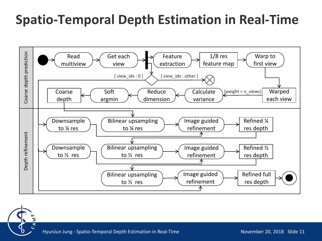

HyunJun Jung - Spatio-Temporal Depth Estimation in Real-Time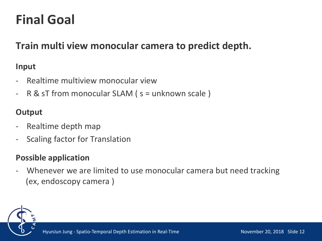### **Final Goal**

#### **Train multi view monocular camera to predict depth.**

#### **Input**

- Realtime multiview monocular view
- R & sT from monocular SLAM (s = unknown scale)

#### **Output**

- Realtime depth map
- Scaling factor for Translation

#### **Possible application**

Whenever we are limited to use monocular camera but need tracking (ex, endoscopy camera )

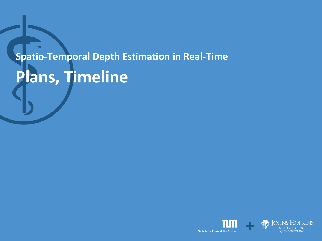# **Spatio-Temporal Depth Estimation in Real-Time Plans, Timeline**

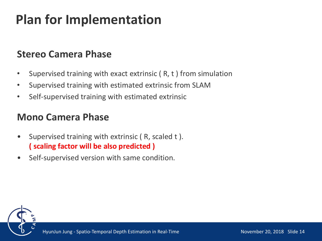### **Plan for Implementation**

#### **Stereo Camera Phase**

- Supervised training with exact extrinsic ( R, t ) from simulation
- Supervised training with estimated extrinsic from SLAM
- Self-supervised training with estimated extrinsic

#### **Mono Camera Phase**

- Supervised training with extrinsic ( R, scaled t ). **( scaling factor will be also predicted )**
- Self-supervised version with same condition.

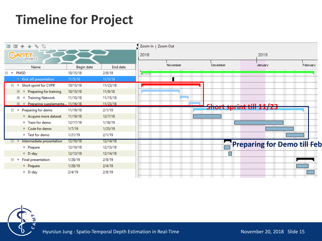### **Timeline for Project**





HyunJun Jung - Spatio-Temporal Depth Estimation in Real-Time

November 20, 2018 Slide 15